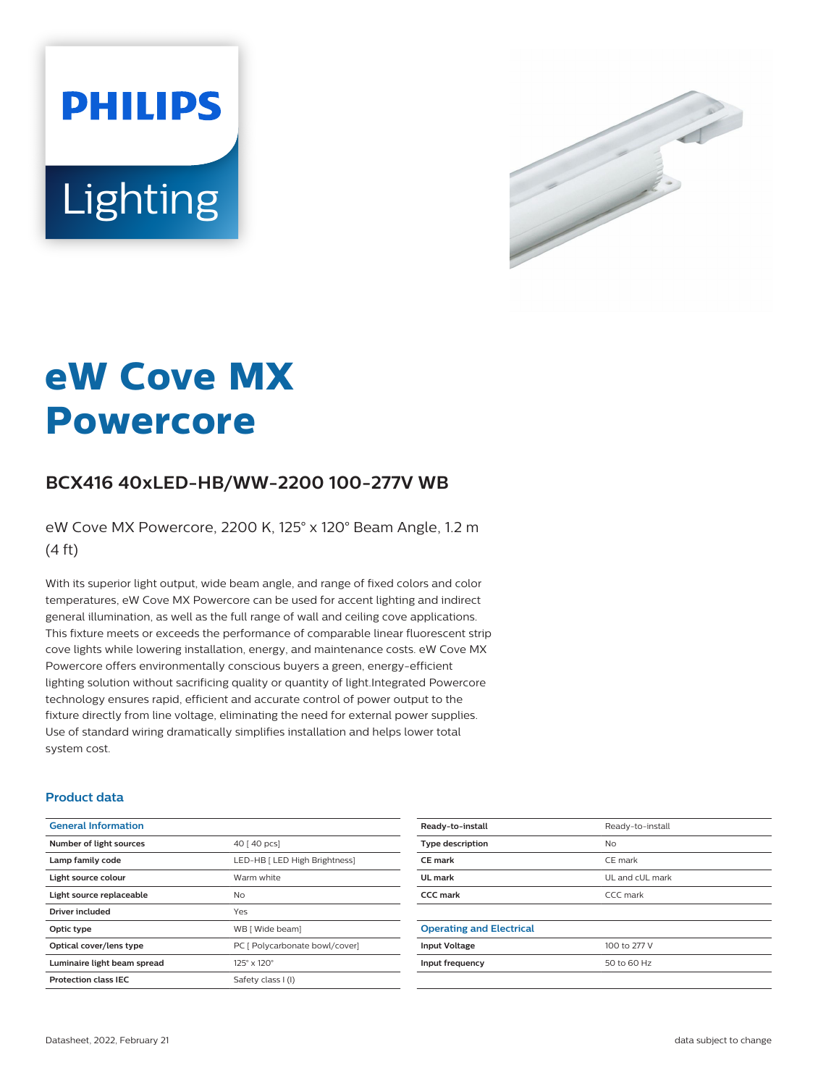



# **eW Cove MX Powercore**

## **BCX416 40xLED-HB/WW-2200 100-277V WB**

eW Cove MX Powercore, 2200 K, 125° x 120° Beam Angle, 1.2 m (4 ft)

With its superior light output, wide beam angle, and range of fixed colors and color temperatures, eW Cove MX Powercore can be used for accent lighting and indirect general illumination, as well as the full range of wall and ceiling cove applications. This fixture meets or exceeds the performance of comparable linear fluorescent strip cove lights while lowering installation, energy, and maintenance costs. eW Cove MX Powercore offers environmentally conscious buyers a green, energy-efficient lighting solution without sacrificing quality or quantity of light.Integrated Powercore technology ensures rapid, efficient and accurate control of power output to the fixture directly from line voltage, eliminating the need for external power supplies. Use of standard wiring dramatically simplifies installation and helps lower total system cost.

#### **Product data**

| <b>General Information</b>  |                                |
|-----------------------------|--------------------------------|
| Number of light sources     | 40 [ 40 pcs]                   |
| Lamp family code            | LED-HB [ LED High Brightness]  |
| Light source colour         | Warm white                     |
| Light source replaceable    | <b>No</b>                      |
| Driver included             | Yes                            |
| Optic type                  | WB [ Wide beam]                |
| Optical cover/lens type     | PC [ Polycarbonate bowl/cover] |
| Luminaire light beam spread | $125^\circ \times 120^\circ$   |
| <b>Protection class IEC</b> | Safety class I (I)             |
|                             |                                |

| Ready-to-install                | Ready-to-install |
|---------------------------------|------------------|
| <b>Type description</b>         | N <sub>o</sub>   |
| <b>CE</b> mark                  | CE mark          |
| UL mark                         | UL and cUL mark  |
| <b>CCC</b> mark                 | CCC mark         |
|                                 |                  |
| <b>Operating and Electrical</b> |                  |
| <b>Input Voltage</b>            | 100 to 277 V     |
| Input frequency                 | 50 to 60 Hz      |
|                                 |                  |